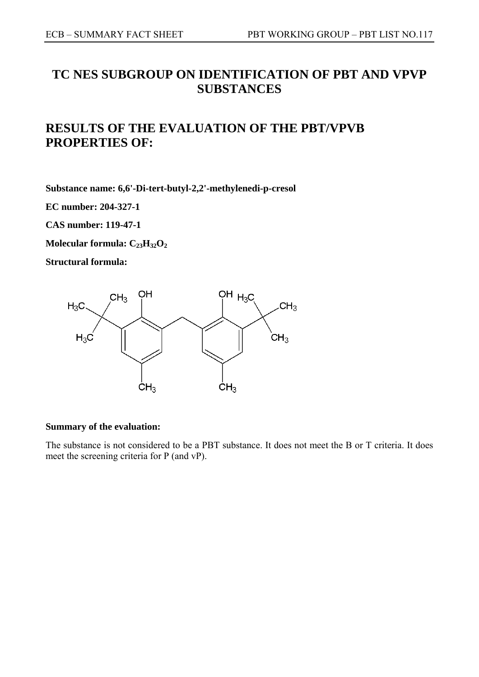# **TC NES SUBGROUP ON IDENTIFICATION OF PBT AND VPVP SUBSTANCES**

# **RESULTS OF THE EVALUATION OF THE PBT/VPVB PROPERTIES OF:**

**Substance name: 6,6'-Di-tert-butyl-2,2'-methylenedi-p-cresol** 

**EC number: 204-327-1** 

**CAS number: 119-47-1** 

**Molecular formula: C<sub>23</sub>H<sub>32</sub>O<sub>2</sub>** 

**Structural formula:** 



## **Summary of the evaluation:**

The substance is not considered to be a PBT substance. It does not meet the B or T criteria. It does meet the screening criteria for P (and vP).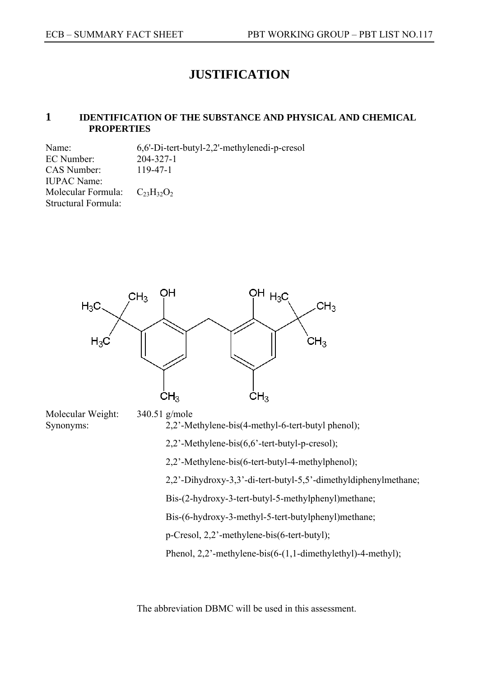## **JUSTIFICATION**

## **1 IDENTIFICATION OF THE SUBSTANCE AND PHYSICAL AND CHEMICAL PROPERTIES**

Name: 6,6'-Di-tert-butyl-2,2'-methylenedi-p-cresol EC Number: 204-327-1 CAS Number: 119-47-1 IUPAC Name: Molecular Formula:  $C_{23}H_{32}O_2$ Structural Formula:



Molecular Weight: 340.51 g/mole Synonyms: 2,2'-Methylene-bis(4-methyl-6-tert-butyl phenol); 2,2'-Methylene-bis(6,6'-tert-butyl-p-cresol); 2,2'-Methylene-bis(6-tert-butyl-4-methylphenol); 2,2'-Dihydroxy-3,3'-di-tert-butyl-5,5'-dimethyldiphenylmethane; Bis-(2-hydroxy-3-tert-butyl-5-methylphenyl)methane; Bis-(6-hydroxy-3-methyl-5-tert-butylphenyl)methane; p-Cresol, 2,2'-methylene-bis(6-tert-butyl); Phenol, 2,2'-methylene-bis(6-(1,1-dimethylethyl)-4-methyl);

The abbreviation DBMC will be used in this assessment.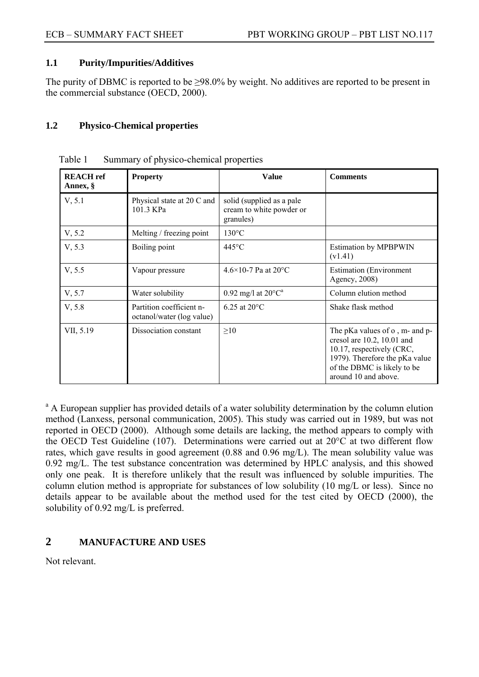## **1.1 Purity/Impurities/Additives**

The purity of DBMC is reported to be  $\geq 98.0\%$  by weight. No additives are reported to be present in the commercial substance (OECD, 2000).

## **1.2 Physico-Chemical properties**

| <b>REACH</b> ref<br>Annex, § | <b>Property</b>                                       | Value                                                                          | <b>Comments</b>                                                                                                                                                                    |
|------------------------------|-------------------------------------------------------|--------------------------------------------------------------------------------|------------------------------------------------------------------------------------------------------------------------------------------------------------------------------------|
| V, 5.1                       | Physical state at 20 C and<br>101.3 KPa               | solid (supplied as a pale<br>cream to white powder or<br>granules)             |                                                                                                                                                                                    |
| V, 5.2                       | Melting / freezing point                              | $130^{\circ}$ C                                                                |                                                                                                                                                                                    |
| V, 5.3                       | Boiling point                                         | 445°C<br><b>Estimation by MPBPWIN</b><br>(v1.41)                               |                                                                                                                                                                                    |
| V, 5.5                       | Vapour pressure                                       | $4.6\times10-7$ Pa at 20 °C<br><b>Estimation</b> (Environment<br>Agency, 2008) |                                                                                                                                                                                    |
| V, 5.7                       | Water solubility                                      | 0.92 mg/l at $20^{\circ}C^a$                                                   | Column elution method                                                                                                                                                              |
| V, 5.8                       | Partition coefficient n-<br>octanol/water (log value) | $6.25$ at $20^{\circ}$ C                                                       | Shake flask method                                                                                                                                                                 |
| VII, 5.19                    | Dissociation constant                                 | $\geq 10$                                                                      | The pKa values of o, m- and p-<br>cresol are 10.2, 10.01 and<br>10.17, respectively (CRC,<br>1979). Therefore the pKa value<br>of the DBMC is likely to be<br>around 10 and above. |

Table 1 Summary of physico-chemical properties

<sup>a</sup> A European supplier has provided details of a water solubility determination by the column elution method (Lanxess, personal communication, 2005). This study was carried out in 1989, but was not reported in OECD (2000). Although some details are lacking, the method appears to comply with the OECD Test Guideline (107). Determinations were carried out at 20°C at two different flow rates, which gave results in good agreement (0.88 and 0.96 mg/L). The mean solubility value was 0.92 mg/L. The test substance concentration was determined by HPLC analysis, and this showed only one peak. It is therefore unlikely that the result was influenced by soluble impurities. The column elution method is appropriate for substances of low solubility (10 mg/L or less). Since no details appear to be available about the method used for the test cited by OECD (2000), the solubility of 0.92 mg/L is preferred.

## **2 MANUFACTURE AND USES**

Not relevant.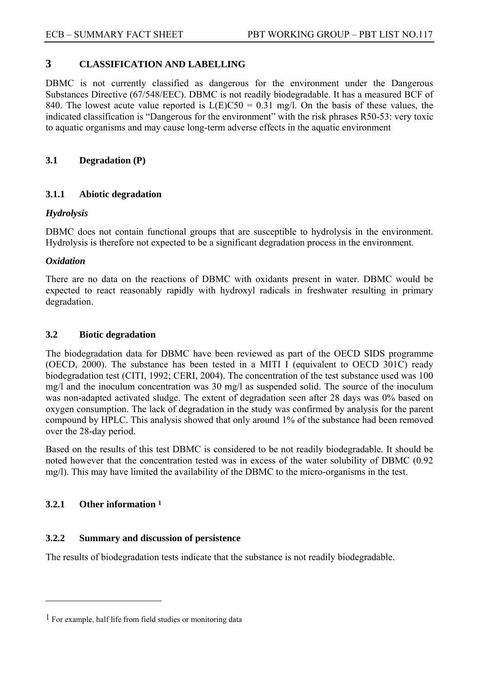## **3 CLASSIFICATION AND LABELLING**

DBMC is not currently classified as dangerous for the environment under the Dangerous Substances Directive (67/548/EEC). DBMC is not readily biodegradable. It has a measured BCF of 840. The lowest acute value reported is  $L(E)CS0 = 0.31$  mg/l. On the basis of these values, the indicated classification is "Dangerous for the environment" with the risk phrases R50-53: very toxic to aquatic organisms and may cause long-term adverse effects in the aquatic environment

## **3.1 Degradation (P)**

## **3.1.1 Abiotic degradation**

## *Hydrolysis*

DBMC does not contain functional groups that are susceptible to hydrolysis in the environment. Hydrolysis is therefore not expected to be a significant degradation process in the environment.

### *Oxidation*

There are no data on the reactions of DBMC with oxidants present in water. DBMC would be expected to react reasonably rapidly with hydroxyl radicals in freshwater resulting in primary degradation.

#### **3.2 Biotic degradation**

The biodegradation data for DBMC have been reviewed as part of the OECD SIDS programme (OECD, 2000). The substance has been tested in a MITI I (equivalent to OECD 301C) ready biodegradation test (CITI, 1992; CERI, 2004). The concentration of the test substance used was 100 mg/l and the inoculum concentration was 30 mg/l as suspended solid. The source of the inoculum was non-adapted activated sludge. The extent of degradation seen after 28 days was 0% based on oxygen consumption. The lack of degradation in the study was confirmed by analysis for the parent compound by HPLC. This analysis showed that only around 1% of the substance had been removed over the 28-day period.

Based on the results of this test DBMC is considered to be not readily biodegradable. It should be noted however that the concentration tested was in excess of the water solubility of DBMC (0.92 mg/l). This may have limited the availability of the DBMC to the micro-organisms in the test.

## **3.2.1 Other information 1**

 $\overline{a}$ 

## **3.2.2 Summary and discussion of persistence**

The results of biodegradation tests indicate that the substance is not readily biodegradable.

<sup>1</sup> For example, half life from field studies or monitoring data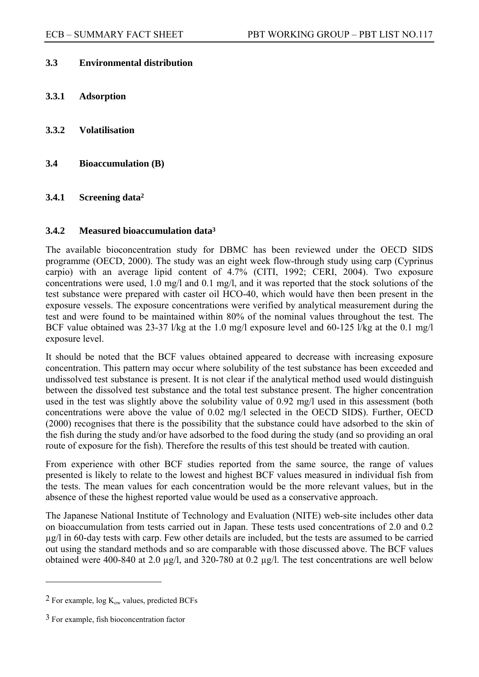## **3.3 Environmental distribution**

- **3.3.1 Adsorption**
- **3.3.2 Volatilisation**
- **3.4 Bioaccumulation (B)**

### **3.4.1 Screening data2**

#### **3.4.2 Measured bioaccumulation data3**

The available bioconcentration study for DBMC has been reviewed under the OECD SIDS programme (OECD, 2000). The study was an eight week flow-through study using carp (Cyprinus carpio) with an average lipid content of 4.7% (CITI, 1992; CERI, 2004). Two exposure concentrations were used, 1.0 mg/l and 0.1 mg/l, and it was reported that the stock solutions of the test substance were prepared with caster oil HCO-40, which would have then been present in the exposure vessels. The exposure concentrations were verified by analytical measurement during the test and were found to be maintained within 80% of the nominal values throughout the test. The BCF value obtained was 23-37 l/kg at the 1.0 mg/l exposure level and 60-125 l/kg at the 0.1 mg/l exposure level.

It should be noted that the BCF values obtained appeared to decrease with increasing exposure concentration. This pattern may occur where solubility of the test substance has been exceeded and undissolved test substance is present. It is not clear if the analytical method used would distinguish between the dissolved test substance and the total test substance present. The higher concentration used in the test was slightly above the solubility value of 0.92 mg/l used in this assessment (both concentrations were above the value of 0.02 mg/l selected in the OECD SIDS). Further, OECD (2000) recognises that there is the possibility that the substance could have adsorbed to the skin of the fish during the study and/or have adsorbed to the food during the study (and so providing an oral route of exposure for the fish). Therefore the results of this test should be treated with caution.

From experience with other BCF studies reported from the same source, the range of values presented is likely to relate to the lowest and highest BCF values measured in individual fish from the tests. The mean values for each concentration would be the more relevant values, but in the absence of these the highest reported value would be used as a conservative approach.

The Japanese National Institute of Technology and Evaluation (NITE) web-site includes other data on bioaccumulation from tests carried out in Japan. These tests used concentrations of 2.0 and 0.2 µg/l in 60-day tests with carp. Few other details are included, but the tests are assumed to be carried out using the standard methods and so are comparable with those discussed above. The BCF values obtained were 400-840 at 2.0 µg/l, and 320-780 at 0.2 µg/l. The test concentrations are well below

 $\overline{a}$ 

<sup>&</sup>lt;sup>2</sup> For example, log  $K_{ow}$  values, predicted BCFs

<sup>3</sup> For example, fish bioconcentration factor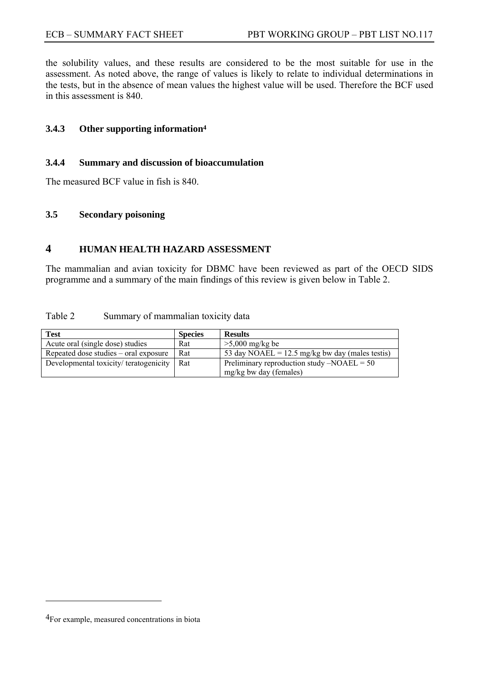the solubility values, and these results are considered to be the most suitable for use in the assessment. As noted above, the range of values is likely to relate to individual determinations in the tests, but in the absence of mean values the highest value will be used. Therefore the BCF used in this assessment is 840.

## **3.4.3 Other supporting information4**

#### **3.4.4 Summary and discussion of bioaccumulation**

The measured BCF value in fish is 840.

#### **3.5 Secondary poisoning**

## **4 HUMAN HEALTH HAZARD ASSESSMENT**

The mammalian and avian toxicity for DBMC have been reviewed as part of the OECD SIDS programme and a summary of the main findings of this review is given below in Table 2.

#### Table 2 Summary of mammalian toxicity data

| Test                                  | <b>Species</b> | <b>Results</b>                                            |
|---------------------------------------|----------------|-----------------------------------------------------------|
| Acute oral (single dose) studies      | Rat            | $>5,000$ mg/kg be                                         |
| Repeated dose studies – oral exposure | Rat            | 53 day NOAEL = $12.5 \text{ mg/kg}$ bw day (males testis) |
| Developmental toxicity/teratogenicity | Rat            | Preliminary reproduction study $-NOAEL = 50$              |
|                                       |                | mg/kg bw day (females)                                    |

 $\overline{a}$ 

<sup>4</sup>For example, measured concentrations in biota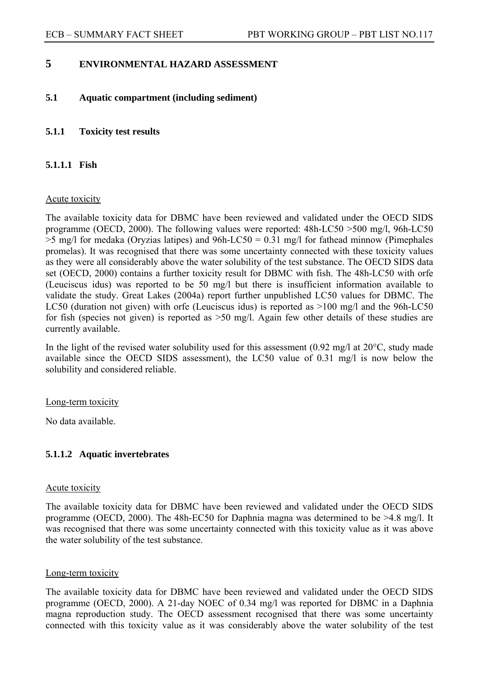## **5 ENVIRONMENTAL HAZARD ASSESSMENT**

## **5.1 Aquatic compartment (including sediment)**

## **5.1.1 Toxicity test results**

## **5.1.1.1 Fish**

#### Acute toxicity

The available toxicity data for DBMC have been reviewed and validated under the OECD SIDS programme (OECD, 2000). The following values were reported: 48h-LC50 >500 mg/l, 96h-LC50  $>5$  mg/l for medaka (Oryzias latipes) and 96h-LC50 = 0.31 mg/l for fathead minnow (Pimephales promelas). It was recognised that there was some uncertainty connected with these toxicity values as they were all considerably above the water solubility of the test substance. The OECD SIDS data set (OECD, 2000) contains a further toxicity result for DBMC with fish. The 48h-LC50 with orfe (Leuciscus idus) was reported to be 50 mg/l but there is insufficient information available to validate the study. Great Lakes (2004a) report further unpublished LC50 values for DBMC. The LC50 (duration not given) with orfe (Leuciscus idus) is reported as  $>100$  mg/l and the 96h-LC50 for fish (species not given) is reported as >50 mg/l. Again few other details of these studies are currently available.

In the light of the revised water solubility used for this assessment  $(0.92 \text{ mg/l at } 20^{\circ}\text{C}, \text{study made})$ available since the OECD SIDS assessment), the LC50 value of 0.31 mg/l is now below the solubility and considered reliable.

#### Long-term toxicity

No data available.

#### **5.1.1.2 Aquatic invertebrates**

#### Acute toxicity

The available toxicity data for DBMC have been reviewed and validated under the OECD SIDS programme (OECD, 2000). The 48h-EC50 for Daphnia magna was determined to be >4.8 mg/l. It was recognised that there was some uncertainty connected with this toxicity value as it was above the water solubility of the test substance.

#### Long-term toxicity

The available toxicity data for DBMC have been reviewed and validated under the OECD SIDS programme (OECD, 2000). A 21-day NOEC of 0.34 mg/l was reported for DBMC in a Daphnia magna reproduction study. The OECD assessment recognised that there was some uncertainty connected with this toxicity value as it was considerably above the water solubility of the test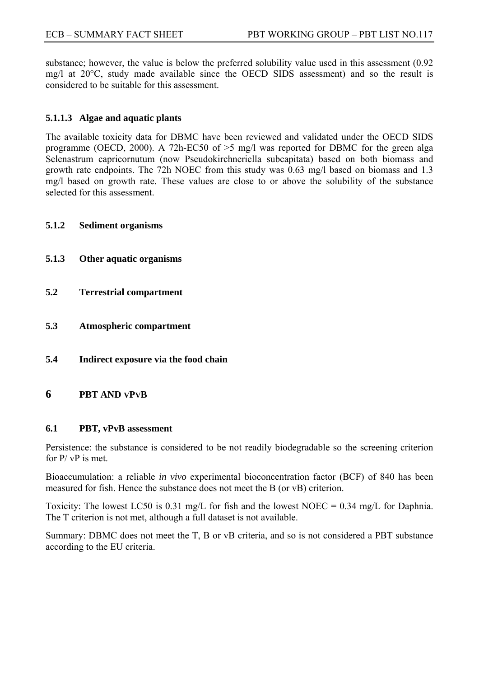substance; however, the value is below the preferred solubility value used in this assessment (0.92 mg/l at 20°C, study made available since the OECD SIDS assessment) and so the result is considered to be suitable for this assessment.

## **5.1.1.3 Algae and aquatic plants**

The available toxicity data for DBMC have been reviewed and validated under the OECD SIDS programme (OECD, 2000). A 72h-EC50 of >5 mg/l was reported for DBMC for the green alga Selenastrum capricornutum (now Pseudokirchneriella subcapitata) based on both biomass and growth rate endpoints. The 72h NOEC from this study was 0.63 mg/l based on biomass and 1.3 mg/l based on growth rate. These values are close to or above the solubility of the substance selected for this assessment.

#### **5.1.2 Sediment organisms**

- **5.1.3 Other aquatic organisms**
- **5.2 Terrestrial compartment**
- **5.3 Atmospheric compartment**
- **5.4 Indirect exposure via the food chain**

#### **6 PBT AND VPVB**

#### **6.1 PBT, vPvB assessment**

Persistence: the substance is considered to be not readily biodegradable so the screening criterion for  $P / VP$  is met.

Bioaccumulation: a reliable *in vivo* experimental bioconcentration factor (BCF) of 840 has been measured for fish. Hence the substance does not meet the B (or vB) criterion.

Toxicity: The lowest LC50 is 0.31 mg/L for fish and the lowest NOEC = 0.34 mg/L for Daphnia. The T criterion is not met, although a full dataset is not available.

Summary: DBMC does not meet the T, B or vB criteria, and so is not considered a PBT substance according to the EU criteria.